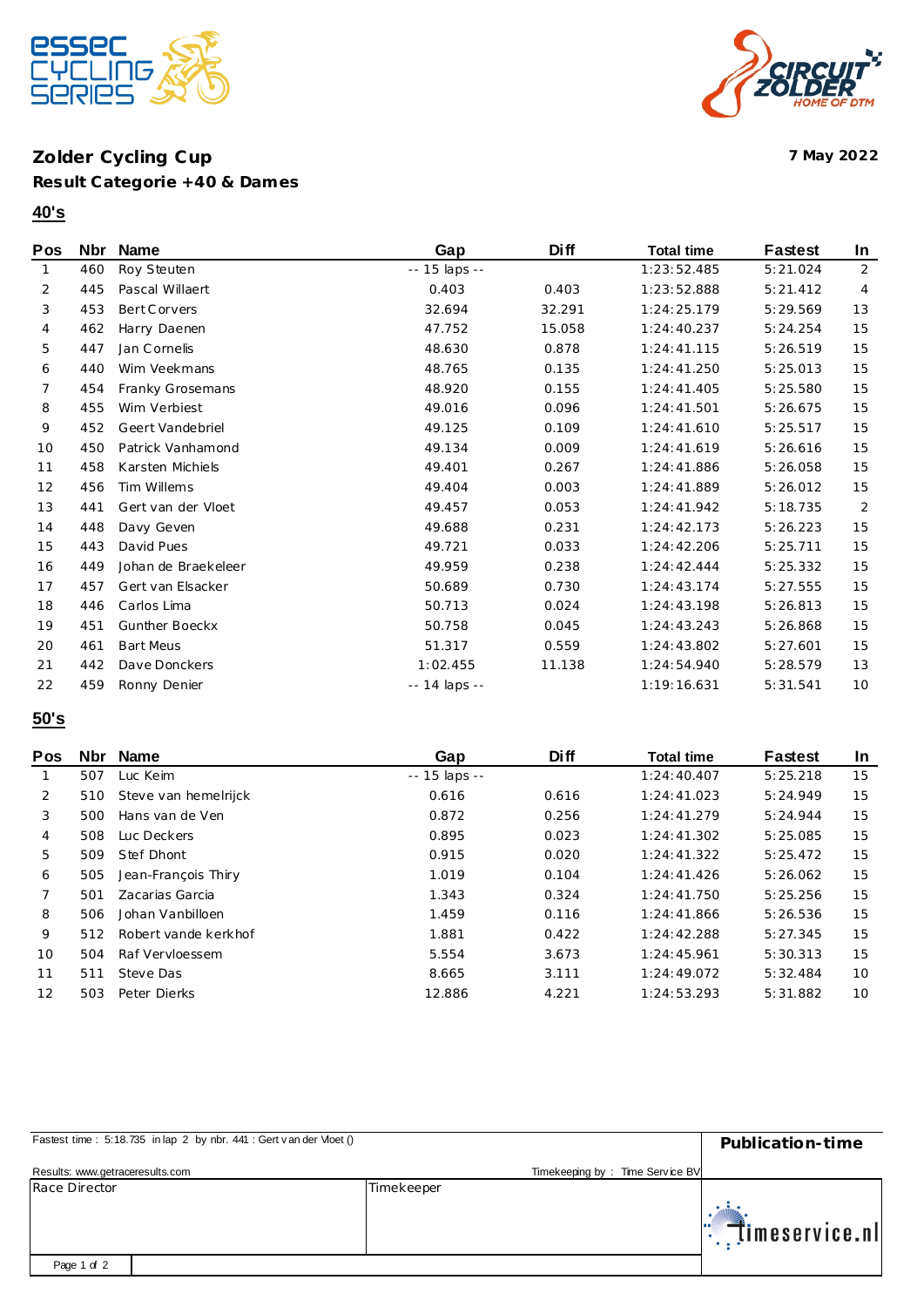

### **Zolder Cycling Cup 7 May 2022 Result Categorie +40 & Dames**

### **40's**

| Pos | <b>Nbr</b> | <b>Name</b>         | Gap           | <b>Diff</b> | <b>Total time</b> | <b>Fastest</b> | In             |
|-----|------------|---------------------|---------------|-------------|-------------------|----------------|----------------|
| 1   | 460        | Roy Steuten         | -- 15 laps -- |             | 1:23:52.485       | 5:21.024       | $\overline{2}$ |
| 2   | 445        | Pascal Willaert     | 0.403         | 0.403       | 1:23:52.888       | 5:21.412       | 4              |
| 3   | 453        | Bert Corvers        | 32.694        | 32.291      | 1:24:25.179       | 5:29.569       | 13             |
| 4   | 462        | Harry Daenen        | 47.752        | 15.058      | 1:24:40.237       | 5:24.254       | 15             |
| 5   | 447        | Jan Cornelis        | 48.630        | 0.878       | 1:24:41.115       | 5:26.519       | 15             |
| 6   | 440        | Wim Veekmans        | 48.765        | 0.135       | 1:24:41.250       | 5:25.013       | 15             |
| 7   | 454        | Franky Grosemans    | 48.920        | 0.155       | 1:24:41.405       | 5:25.580       | 15             |
| 8   | 455        | Wim Verbiest        | 49.016        | 0.096       | 1:24:41.501       | 5:26.675       | 15             |
| 9   | 452        | Geert Vandebriel    | 49.125        | 0.109       | 1:24:41.610       | 5:25.517       | 15             |
| 10  | 450        | Patrick Vanhamond   | 49.134        | 0.009       | 1:24:41.619       | 5:26.616       | 15             |
| 11  | 458        | Karsten Michiels    | 49.401        | 0.267       | 1:24:41.886       | 5:26.058       | 15             |
| 12  | 456        | Tim Willems         | 49.404        | 0.003       | 1:24:41.889       | 5:26.012       | 15             |
| 13  | 441        | Gert van der Vloet  | 49.457        | 0.053       | 1:24:41.942       | 5:18.735       | 2              |
| 14  | 448        | Davy Geven          | 49.688        | 0.231       | 1:24:42.173       | 5:26.223       | 15             |
| 15  | 443        | David Pues          | 49.721        | 0.033       | 1:24:42.206       | 5:25.711       | 15             |
| 16  | 449        | Johan de Braekeleer | 49.959        | 0.238       | 1:24:42.444       | 5:25.332       | 15             |
| 17  | 457        | Gert van Elsacker   | 50.689        | 0.730       | 1:24:43.174       | 5:27.555       | 15             |
| 18  | 446        | Carlos Lima         | 50.713        | 0.024       | 1:24:43.198       | 5:26.813       | 15             |
| 19  | 451        | Gunther Boeckx      | 50.758        | 0.045       | 1:24:43.243       | 5:26.868       | 15             |
| 20  | 461        | <b>Bart Meus</b>    | 51.317        | 0.559       | 1:24:43.802       | 5:27.601       | 15             |
| 21  | 442        | Dave Donckers       | 1:02.455      | 11.138      | 1:24:54.940       | 5:28.579       | 13             |
| 22  | 459        | Ronny Denier        | -- 14 laps -- |             | 1:19:16.631       | 5:31.541       | 10             |
|     |            |                     |               |             |                   |                |                |

# **50's**

| <b>Pos</b> | Nbr | Name                 | Gap                 | Di ff | <b>Total time</b> | Fastest  | <b>In</b> |
|------------|-----|----------------------|---------------------|-------|-------------------|----------|-----------|
|            | 507 | Luc Keim             | $- - 15$ laps $- -$ |       | 1:24:40.407       | 5:25.218 | 15        |
| 2          | 510 | Steve van hemelrijck | 0.616               | 0.616 | 1:24:41.023       | 5:24.949 | 15        |
| 3          | 500 | Hans van de Ven      | 0.872               | 0.256 | 1:24:41.279       | 5:24.944 | 15        |
| 4          | 508 | Luc Deckers          | 0.895               | 0.023 | 1:24:41.302       | 5:25.085 | 15        |
| 5          | 509 | Stef Dhont           | 0.915               | 0.020 | 1:24:41.322       | 5:25.472 | 15        |
| 6          | 505 | Jean-François Thiry  | 1.019               | 0.104 | 1:24:41.426       | 5:26.062 | 15        |
|            | 501 | Zacarias Garcia      | 1.343               | 0.324 | 1:24:41.750       | 5:25.256 | 15        |
| 8          | 506 | Johan Vanbilloen     | 1.459               | 0.116 | 1:24:41.866       | 5:26.536 | 15        |
| 9          | 512 | Robert vande kerkhof | 1.881               | 0.422 | 1:24:42.288       | 5:27.345 | 15        |
| 10         | 504 | Raf Vervloessem      | 5.554               | 3.673 | 1:24:45.961       | 5:30.313 | 15        |
| 11         | 511 | Steve Das            | 8.665               | 3.111 | 1:24:49.072       | 5:32.484 | 10        |
| 12         | 503 | Peter Dierks         | 12.886              | 4.221 | 1:24:53.293       | 5:31.882 | 10        |

| Fastest time: 5:18.735 in lap 2 by nbr. 441 : Gert v an der Vloet () | Publication-time                |                            |
|----------------------------------------------------------------------|---------------------------------|----------------------------|
| Results: www.getraceresults.com                                      | Timekeeping by: Time Service BV |                            |
| Race Director                                                        | Timekeeper                      | $\mathbb{R}$ imeservice.nl |
| Page 1 of 2                                                          |                                 |                            |